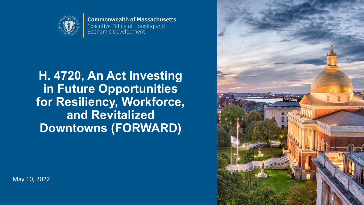

**Commonwealth of Massachusetts** Executive Office of Housing and Economic Development

# **H. 4720, An Act Investing in Future Opportunities for Resiliency, Workforce, and Revitalized Downtowns (FORWARD)**



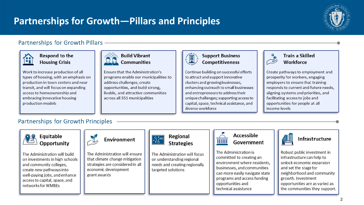## **Partnerships for Growth—Pillars and Principles**



## Partnerships for Growth Pillars -



#### Respond to the **Housing Crisis**

Work to increase production of all types of housing, with an emphasis on production in town centers and near transit, and will focus on expanding access to homeownership and embracing innovative housing production models



Ensure that the Administration's programs enable our municipalities to address challenges, create opportunities, and build strong, livable, and attractive communities across all 351 municipalities



#### **Support Business** Competitiveness

Continue building on successful efforts to attract and support innovative clusters and growing businesses, enhancing outreach to small businesses and entrepreneurs to address their unique challenges; supporting access to capital, space, technical assistance, and diverse workforce



### **Train a Skilled** Workforce

Create pathways to employment and prosperity for workers, engaging employers to ensure that training responds to current and future needs, aligning systems and priorities, and facilitating access to jobs and opportunities for people at all income levels

## Partnerships for Growth Principles



#### Equitable Opportunity

The Administration will build on investments in high schools and community colleges, create new pathways into well-paying jobs, and enhance access to capital, space, and networks for WMBEs



The Administration will ensure that climate change mitigation strategies are considered in all economic development grant awards



### Regional **Strategies**

The Administration will focus on understanding regional needs and creating regionally targeted solutions



### Accessible Government

The Administration is committed to creating an environment where residents, businesses, and communities can more easily navigate state programs and access funding opportunities and technical assistance



## **Infrastructure**

Robust public investment in infrastructure can help to unlock economic expansion and set the stage for neighborhood and community growth. Investment opportunities are as varied as the communities they support.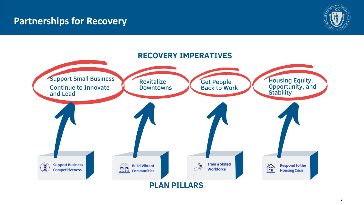## **Partnerships for Recovery**





#### 3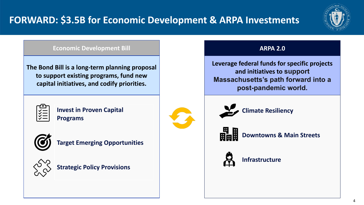

### **Economic Development Bill**

**The Bond Bill is a long-term planning proposal to support existing programs, fund new capital initiatives, and codify priorities.** 



**Invest in Proven Capital Programs**



**Target Emerging Opportunities**



**Strategic Policy Provisions**

## **ARPA 2.0**

**Leverage federal funds for specific projects and initiatives to support Massachusetts's path forward into a post-pandemic world.** 



**Climate Resiliency**

**Downtowns & Main Streets**



**Infrastructure**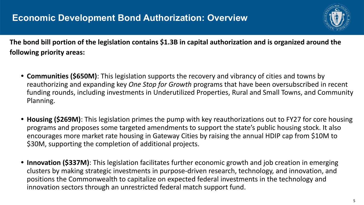

**The bond bill portion of the legislation contains \$1.3B in capital authorization and is organized around the following priority areas:** 

- **• Communities (\$650M)**: This legislation supports the recovery and vibrancy of cities and towns by reauthorizing and expanding key *One Stop for Growth* programs that have been oversubscribed in recent funding rounds, including investments in Underutilized Properties, Rural and Small Towns, and Community Planning.
- **• Housing (\$269M)**: This legislation primes the pump with key reauthorizations out to FY27 for core housing programs and proposes some targeted amendments to support the state's public housing stock. It also encourages more market rate housing in Gateway Cities by raising the annual HDIP cap from \$10M to \$30M, supporting the completion of additional projects.
- **• Innovation (\$337M)**: This legislation facilitates further economic growth and job creation in emerging clusters by making strategic investments in purpose-driven research, technology, and innovation, and positions the Commonwealth to capitalize on expected federal investments in the technology and innovation sectors through an unrestricted federal match support fund.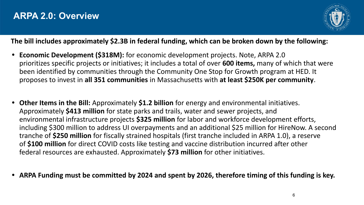

## **The bill includes approximately \$2.3B in federal funding, which can be broken down by the following:**

- **• Economic Development (\$318M):** for economic development projects. Note, ARPA 2.0 prioritizes specific projects or initiatives; it includes a total of over **600 items,** many of which that were been identified by communities through the Community One Stop for Growth program at HED. It proposes to invest in **all 351 communities** in Massachusetts with **at least \$250K per community**.
- **• Other Items in the Bill:** Approximately **\$1.2 billion** for energy and environmental initiatives. Approximately **\$413 million** for state parks and trails, water and sewer projects, and environmental infrastructure projects **\$325 million** for labor and workforce development efforts, including \$300 million to address UI overpayments and an additional \$25 million for HireNow. A second tranche of **\$250 million** for fiscally strained hospitals (first tranche included in ARPA 1.0), a reserve of **\$100 million** for direct COVID costs like testing and vaccine distribution incurred after other federal resources are exhausted. Approximately **\$73 million** for other initiatives.
- **• ARPA Funding must be committed by 2024 and spent by 2026, therefore timing of this funding is key.**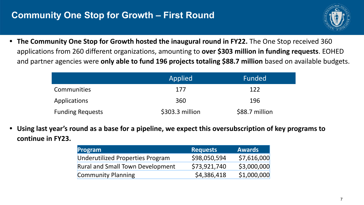## **Community One Stop for Growth – First Round**



**• The Community One Stop for Growth hosted the inaugural round in FY22.** The One Stop received 360 applications from 260 different organizations, amounting to **over \$303 million in funding requests**. EOHED and partner agencies were **only able to fund 196 projects totaling \$88.7 million** based on available budgets.

|                         | Applied         | Funded         |
|-------------------------|-----------------|----------------|
| <b>Communities</b>      | 177             | 122            |
| Applications            | 360             | 196            |
| <b>Funding Requests</b> | \$303.3 million | \$88.7 million |

**• Using last year's round as a base for a pipeline, we expect this oversubscription of key programs to continue in FY23.** 

| Program                                 | <b>Requests</b> | <b>Awards</b> |
|-----------------------------------------|-----------------|---------------|
| <b>Underutilized Properties Program</b> | \$98,050,594    | \$7,616,000   |
| <b>Rural and Small Town Development</b> | \$73,921,740    | \$3,000,000   |
| <b>Community Planning</b>               | \$4,386,418     | \$1,000,000   |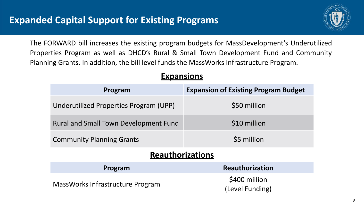

The FORWARD bill increases the existing program budgets for MassDevelopment's Underutilized Properties Program as well as DHCD's Rural & Small Town Development Fund and Community Planning Grants. In addition, the bill level funds the MassWorks Infrastructure Program.

| Program                                      | <b>Expansion of Existing Program Budget</b> |  |  |  |
|----------------------------------------------|---------------------------------------------|--|--|--|
| Underutilized Properties Program (UPP)       | \$50 million                                |  |  |  |
| <b>Rural and Small Town Development Fund</b> | \$10 million                                |  |  |  |
| <b>Community Planning Grants</b>             | \$5 million                                 |  |  |  |
| <b>Reauthorizations</b>                      |                                             |  |  |  |
| Program                                      | <b>Reauthorization</b>                      |  |  |  |
| MassWorks Infrastructure Program             | \$400 million<br>(Level Funding)            |  |  |  |

## **Expansions**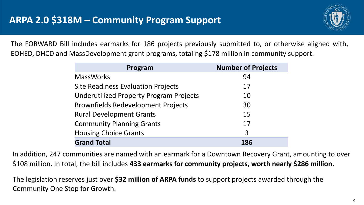

The FORWARD Bill includes earmarks for 186 projects previously submitted to, or otherwise aligned with, EOHED, DHCD and MassDevelopment grant programs, totaling \$178 million in community support.

| Program                                        | <b>Number of Projects</b> |
|------------------------------------------------|---------------------------|
| <b>MassWorks</b>                               | 94                        |
| <b>Site Readiness Evaluation Projects</b>      | 17                        |
| <b>Underutilized Property Program Projects</b> | 10                        |
| <b>Brownfields Redevelopment Projects</b>      | 30                        |
| <b>Rural Development Grants</b>                | 15                        |
| <b>Community Planning Grants</b>               | 17                        |
| <b>Housing Choice Grants</b>                   | $\overline{3}$            |
| <b>Grand Total</b>                             | 186                       |

In addition, 247 communities are named with an earmark for a Downtown Recovery Grant, amounting to over \$108 million. In total, the bill includes **433 earmarks for community projects, worth nearly \$286 million**.

The legislation reserves just over **\$32 million of ARPA funds** to support projects awarded through the Community One Stop for Growth.